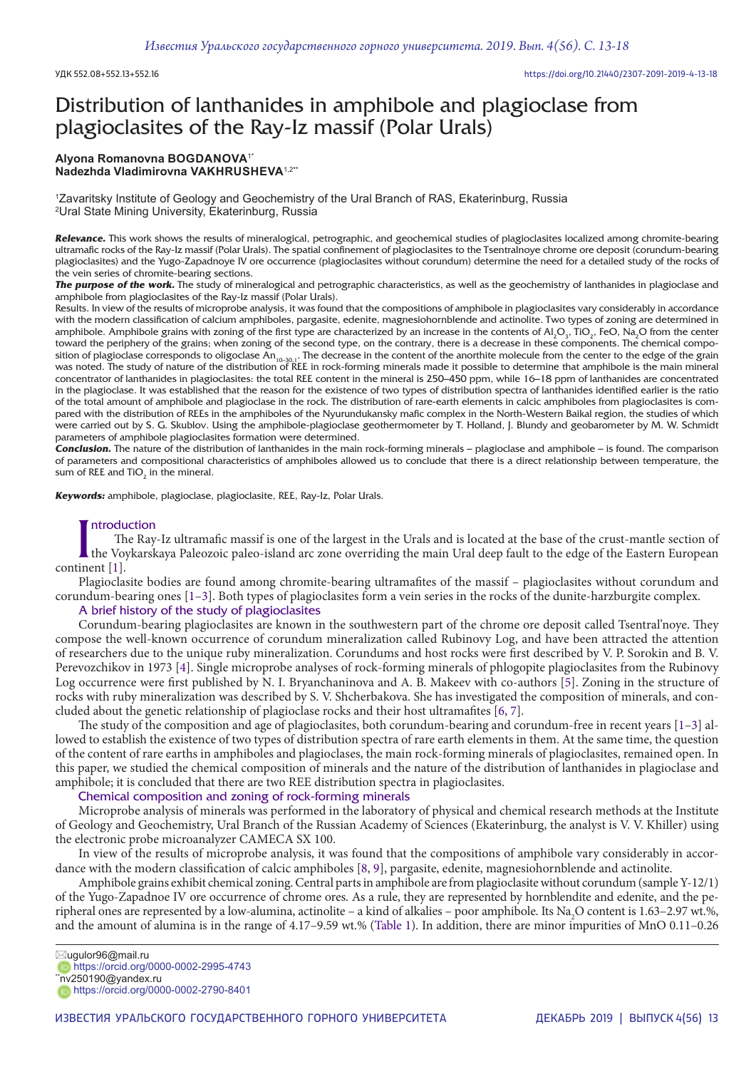# Distribution of lanthanides in amphibole and plagioclase from plagioclasites of the Ray-Iz massif (Polar Urals)

## **Alyona Romanovna BOGDANOVA**1\* **Nadezhda Vladimirovna VAKHRUSHEVA**1,2\*\*

1 Zavaritsky Institute of Geology and Geochemistry of the Ural Branch of RAS, Ekaterinburg, Russia 2 Ural State Mining University, Ekaterinburg, Russia

*Relevance.* This work shows the results of mineralogical, petrographic, and geochemical studies of plagioclasites localized among chromite-bearing ultramafic rocks of the Ray-Iz massif (Polar Urals). The spatial confinement of plagioclasites to the Tsentralnoye chrome ore deposit (corundum-bearing plagioclasites) and the Yugo-Zapadnoye IV ore occurrence (plagioclasites without corundum) determine the need for a detailed study of the rocks of the vein series of chromite-bearing sections.

*The purpose of the work.* The study of mineralogical and petrographic characteristics, as well as the geochemistry of lanthanides in plagioclase and amphibole from plagioclasites of the Ray-Iz massif (Polar Urals).

Results. In view of the results of microprobe analysis, it was found that the compositions of amphibole in plagioclasites vary considerably in accordance with the modern classification of calcium amphiboles, pargasite, edenite, magnesiohornblende and actinolite. Two types of zoning are determined in amphibole. Amphibole grains with zoning of the first type are characterized by an increase in the contents of Al<sub>2</sub>O<sub>3</sub>, TiO<sub>2</sub>, FeO, Na<sub>2</sub>O from the center toward the periphery of the grains; when zoning of the second type, on the contrary, there is a decrease in these components. The chemical composition of plagioclase corresponds to oligoclase An<sub>10-30.1</sub>. The decrease in the content of the anorthite molecule from the center to the edge of the grain<br>was noted. The study of nature of the distribution of REE in rockconcentrator of lanthanides in plagioclasites: the total REE content in the mineral is 250–450 ppm, while 16–18 ppm of lanthanides are concentrated in the plagioclase. It was established that the reason for the existence of two types of distribution spectra of lanthanides identified earlier is the ratio of the total amount of amphibole and plagioclase in the rock. The distribution of rare-earth elements in calcic amphiboles from plagioclasites is compared with the distribution of REEs in the amphiboles of the Nyurundukansky mafic complex in the North-Western Baikal region, the studies of which were carried out by S. G. Skublov. Using the amphibole-plagioclase geothermometer by T. Holland, J. Blundy and geobarometer by M. W. Schmidt parameters of amphibole plagioclasites formation were determined.

*Conclusion.* The nature of the distribution of lanthanides in the main rock-forming minerals – plagioclase and amphibole – is found. The comparison of parameters and compositional characteristics of amphiboles allowed us to conclude that there is a direct relationship between temperature, the sum of REE and Ti $O_2$  in the mineral.

*Keywords:* amphibole, plagioclase, plagioclasite, REE, Ray-Iz, Polar Urals.

## ntroduction

Introdu<br>
The Voy<br>
continent [1]. The Ray-Iz ultramafic massif is one of the largest in the Urals and is located at the base of the crust-mantle section of the Voykarskaya Paleozoic paleo-island arc zone overriding the main Ural deep fault to the edge of the Eastern European

Plagioclasite bodies are found among chromite-bearing ultramafites of the massif – plagioclasites without corundum and corundum-bearing ones [1–3]. Both types of plagioclasites form a vein series in the rocks of the dunite-harzburgite complex.

## A brief history of the study of plagioclasites

Corundum-bearing plagioclasites are known in the southwestern part of the chrome ore deposit called Tsentral'noye. They compose the well-known occurrence of corundum mineralization called Rubinovy Log, and have been attracted the attention of researchers due to the unique ruby mineralization. Corundums and host rocks were first described by V. P. Sorokin and B. V. Perevozchikov in 1973 [4]. Single microprobe analyses of rock-forming minerals of phlogopite plagioclasites from the Rubinovy Log occurrence were first published by N. I. Bryanchaninova and A. B. Makeev with co-authors [5]. Zoning in the structure of rocks with ruby mineralization was described by S. V. Shcherbakova. She has investigated the composition of minerals, and concluded about the genetic relationship of plagioclase rocks and their host ultramafites [6, 7].

The study of the composition and age of plagioclasites, both corundum-bearing and corundum-free in recent years [1–3] allowed to establish the existence of two types of distribution spectra of rare earth elements in them. At the same time, the question of the content of rare earths in amphiboles and plagioclases, the main rock-forming minerals of plagioclasites, remained open. In this paper, we studied the chemical composition of minerals and the nature of the distribution of lanthanides in plagioclase and amphibole; it is concluded that there are two REE distribution spectra in plagioclasites.

## Chemical composition and zoning of rock-forming minerals

Microprobe analysis of minerals was performed in the laboratory of physical and chemical research methods at the Institute of Geology and Geochemistry, Ural Branch of the Russian Academy of Sciences (Ekaterinburg, the analyst is V. V. Khiller) using the electronic probe microanalyzer CAMECA SX 100.

In view of the results of microprobe analysis, it was found that the compositions of amphibole vary considerably in accordance with the modern classification of calcic amphiboles [8, 9], pargasite, edenite, magnesiohornblende and actinolite.

Amphibole grains exhibit chemical zoning. Central parts in amphibole are from plagioclasite without corundum (sample Y-12/1) of the Yugo-Zapadnoe IV ore occurrence of chrome ores. As a rule, they are represented by hornblendite and edenite, and the peripheral ones are represented by a low-alumina, actinolite – a kind of alkalies – poor amphibole. Its Na<sub>2</sub>O content is 1.63–2.97 wt.%, and the amount of alumina is in the range of 4.17–9.59 wt.% (Table 1). In addition, there are minor impurities of MnO 0.11–0.26

https://orcid.org/0000-0002-2995-4743

 $\sqrt[4]{n}$ v250190@yandex.ru https://orcid.org/0000-0002-2790-8401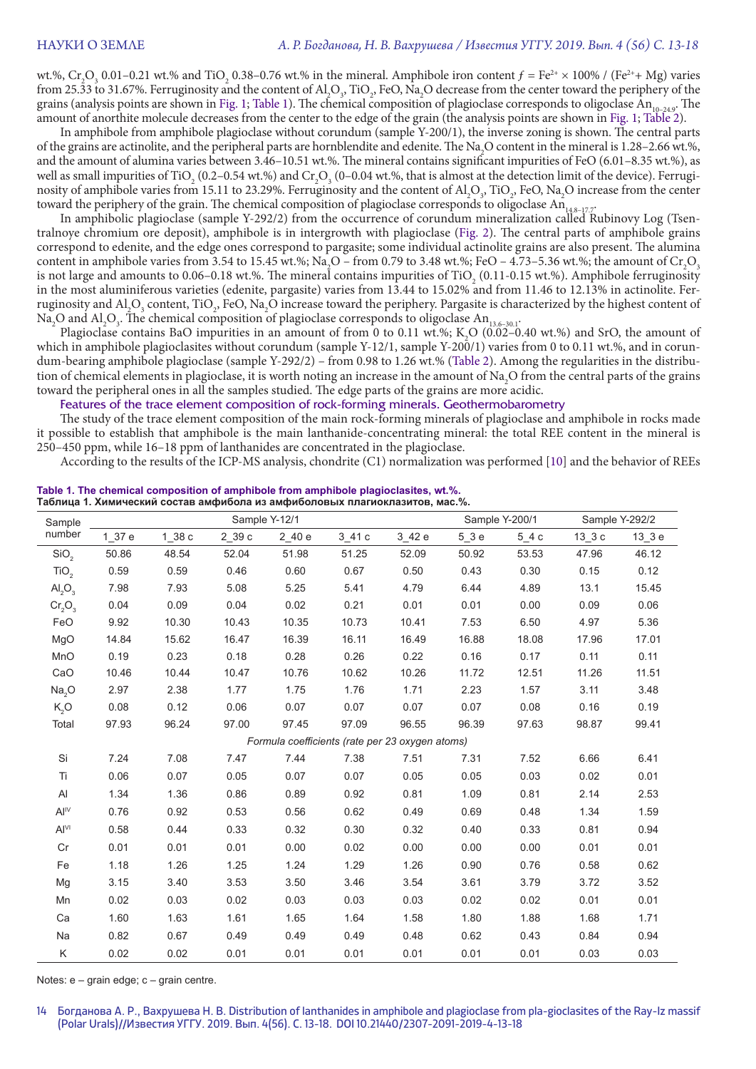wt.%,  $Cr_2O_3$  0.01–0.21 wt.% and TiO<sub>2</sub> 0.38–0.76 wt.% in the mineral. Amphibole iron content  $f = Fe^{2+} \times 100\%$  / (Fe<sup>2+</sup>+ Mg) varies from 25.33 to 31.67%. Ferruginosity and the content of  $AI_2O_3$ , TiO<sub>2</sub>, FeO, Na<sub>2</sub>O decrease from the center toward the periphery of the grains (analysis points are shown in Fig. 1; Table 1). The chemical composition of plagioclase corresponds to oligoclase An<sub>10-249</sub>. The amount of anorthite molecule decreases from the center to the edge of the grain (the analysis points are shown in Fig. 1; Table 2).

In amphibole from amphibole plagioclase without corundum (sample Y-200/1), the inverse zoning is shown. The central parts of the grains are actinolite, and the peripheral parts are hornblendite and edenite. The Na<sub>2</sub>O content in the mineral is 1.28–2.66 wt.%, and the amount of alumina varies between 3.46–10.51 wt.%. The mineral contains significant impurities of FeO (6.01–8.35 wt.%), as well as small impurities of TiO<sub>2</sub> (0.2–0.54 wt.%) and Cr<sub>2</sub>O<sub>3</sub> (0–0.04 wt.%, that is almost at the detection limit of the device). Ferruginosity of amphibole varies from 15.11 to 23.29%. Ferruginosity and the content of  $Al_2O_3$ , TiO<sub>2</sub>, FeO, Na<sub>2</sub>O increase from the center toward the periphery of the grain. The chemical composition of plagioclase corresponds to oligoclase An<sub>14.8–17.7</sub>.

In amphibolic plagioclase (sample Y-292/2) from the occurrence of corundum mineralization called Rubinovy Log (Tsentralnoye chromium ore deposit), amphibole is in intergrowth with plagioclase (Fig. 2). The central parts of amphibole grains correspond to edenite, and the edge ones correspond to pargasite; some individual actinolite grains are also present. The alumina content in amphibole varies from 3.54 to 15.45 wt.%; Na<sub>2</sub>O – from 0.79 to 3.48 wt.%; FeO – 4.73–5.36 wt.%; the amount of Cr<sub>2</sub>O<sub>3</sub> is not large and amounts to  $0.06-0.18$  wt.%. The mineral contains impurities of TiO<sub>2</sub> (0.11-0.15 wt.%). Amphibole ferruginosity in the most aluminiferous varieties (edenite, pargasite) varies from 13.44 to 15.02% and from 11.46 to 12.13% in actinolite. Ferruginosity and  $\mathrm{Al}_2\mathrm{O}_3$  content, TiO<sub>2</sub>, FeO, Na<sub>2</sub>O increase toward the periphery. Pargasite is characterized by the highest content of Na<sub>2</sub>O and Al<sub>2</sub>O<sub>3</sub>. The chemical composition of plagioclase corresponds to oligoclase An<sub>13.6–30.1</sub>.

Plagioclase contains BaO impurities in an amount of from 0 to 0.11 wt.%;  $K_2O(0.02-0.40 \text{ wt.}\%)$  and SrO, the amount of which in amphibole plagioclasites without corundum (sample Y-12/1, sample Y-200/1) varies from 0 to 0.11 wt.%, and in corundum-bearing amphibole plagioclase (sample Y-292/2) – from 0.98 to 1.26 wt.% (Table 2). Among the regularities in the distribution of chemical elements in plagioclase, it is worth noting an increase in the amount of Na<sub>2</sub>O from the central parts of the grains toward the peripheral ones in all the samples studied. The edge parts of the grains are more acidic.

Features of the trace element composition of rock-forming minerals. Geothermobarometry

The study of the trace element composition of the main rock-forming minerals of plagioclase and amphibole in rocks made it possible to establish that amphibole is the main lanthanide-concentrating mineral: the total REE content in the mineral is 250–450 ppm, while 16–18 ppm of lanthanides are concentrated in the plagioclase.

According to the results of the ICP-MS analysis, chondrite (C1) normalization was performed [10] and the behavior of REEs

| Sample                      | Sample Y-12/1 |        |        |            |           |                                                 |        | Sample Y-200/1 |           | Sample Y-292/2 |  |
|-----------------------------|---------------|--------|--------|------------|-----------|-------------------------------------------------|--------|----------------|-----------|----------------|--|
| number                      | 1 37 e        | 1 38 c | 2 39 с | $2_{.40e}$ | $3 - 41c$ | $3 - 42e$                                       | $5_3e$ | $5_4c$         | $13 - 3c$ | $13_3 e$       |  |
| SiO <sub>2</sub>            | 50.86         | 48.54  | 52.04  | 51.98      | 51.25     | 52.09                                           | 50.92  | 53.53          | 47.96     | 46.12          |  |
| TiO <sub>2</sub>            | 0.59          | 0.59   | 0.46   | 0.60       | 0.67      | 0.50                                            | 0.43   | 0.30           | 0.15      | 0.12           |  |
| $\mathsf{Al}_2\mathsf{O}_3$ | 7.98          | 7.93   | 5.08   | 5.25       | 5.41      | 4.79                                            | 6.44   | 4.89           | 13.1      | 15.45          |  |
| $Cr_2O_3$                   | 0.04          | 0.09   | 0.04   | 0.02       | 0.21      | 0.01                                            | 0.01   | 0.00           | 0.09      | 0.06           |  |
| FeO                         | 9.92          | 10.30  | 10.43  | 10.35      | 10.73     | 10.41                                           | 7.53   | 6.50           | 4.97      | 5.36           |  |
| MgO                         | 14.84         | 15.62  | 16.47  | 16.39      | 16.11     | 16.49                                           | 16.88  | 18.08          | 17.96     | 17.01          |  |
| MnO                         | 0.19          | 0.23   | 0.18   | 0.28       | 0.26      | 0.22                                            | 0.16   | 0.17           | 0.11      | 0.11           |  |
| CaO                         | 10.46         | 10.44  | 10.47  | 10.76      | 10.62     | 10.26                                           | 11.72  | 12.51          | 11.26     | 11.51          |  |
| Na <sub>2</sub> O           | 2.97          | 2.38   | 1.77   | 1.75       | 1.76      | 1.71                                            | 2.23   | 1.57           | 3.11      | 3.48           |  |
| K, O                        | 0.08          | 0.12   | 0.06   | 0.07       | 0.07      | 0.07                                            | 0.07   | 0.08           | 0.16      | 0.19           |  |
| Total                       | 97.93         | 96.24  | 97.00  | 97.45      | 97.09     | 96.55                                           | 96.39  | 97.63          | 98.87     | 99.41          |  |
|                             |               |        |        |            |           | Formula coefficients (rate per 23 oxygen atoms) |        |                |           |                |  |
| Si                          | 7.24          | 7.08   | 7.47   | 7.44       | 7.38      | 7.51                                            | 7.31   | 7.52           | 6.66      | 6.41           |  |
| Ti                          | 0.06          | 0.07   | 0.05   | 0.07       | 0.07      | 0.05                                            | 0.05   | 0.03           | 0.02      | 0.01           |  |
| Al                          | 1.34          | 1.36   | 0.86   | 0.89       | 0.92      | 0.81                                            | 1.09   | 0.81           | 2.14      | 2.53           |  |
| Al <sup>IV</sup>            | 0.76          | 0.92   | 0.53   | 0.56       | 0.62      | 0.49                                            | 0.69   | 0.48           | 1.34      | 1.59           |  |
| Al <sup>VI</sup>            | 0.58          | 0.44   | 0.33   | 0.32       | 0.30      | 0.32                                            | 0.40   | 0.33           | 0.81      | 0.94           |  |
| Cr                          | 0.01          | 0.01   | 0.01   | 0.00       | 0.02      | 0.00                                            | 0.00   | 0.00           | 0.01      | 0.01           |  |
| Fe                          | 1.18          | 1.26   | 1.25   | 1.24       | 1.29      | 1.26                                            | 0.90   | 0.76           | 0.58      | 0.62           |  |
| Mg                          | 3.15          | 3.40   | 3.53   | 3.50       | 3.46      | 3.54                                            | 3.61   | 3.79           | 3.72      | 3.52           |  |
| Mn                          | 0.02          | 0.03   | 0.02   | 0.03       | 0.03      | 0.03                                            | 0.02   | 0.02           | 0.01      | 0.01           |  |
| Ca                          | 1.60          | 1.63   | 1.61   | 1.65       | 1.64      | 1.58                                            | 1.80   | 1.88           | 1.68      | 1.71           |  |
| Na                          | 0.82          | 0.67   | 0.49   | 0.49       | 0.49      | 0.48                                            | 0.62   | 0.43           | 0.84      | 0.94           |  |
| Κ                           | 0.02          | 0.02   | 0.01   | 0.01       | 0.01      | 0.01                                            | 0.01   | 0.01           | 0.03      | 0.03           |  |

**Table 1. The chemical composition of amphibole from amphibole plagioclasites, wt.%. Таблица 1. Химический состав амфибола из амфиболовых плагиоклазитов, мас.%.**

Notes: e – grain edge; c – grain centre.

<sup>14</sup> Богданова А. Р., Вахрушева Н. В. Distribution of lanthanides in amphibole and plagioclase from pla-gioclasites of the Ray-Iz massif (Polar Urals)//Известия УГГУ. 2019. Вып. 4(56). С. 13-18. DOI 10.21440/2307-2091-2019-4-13-18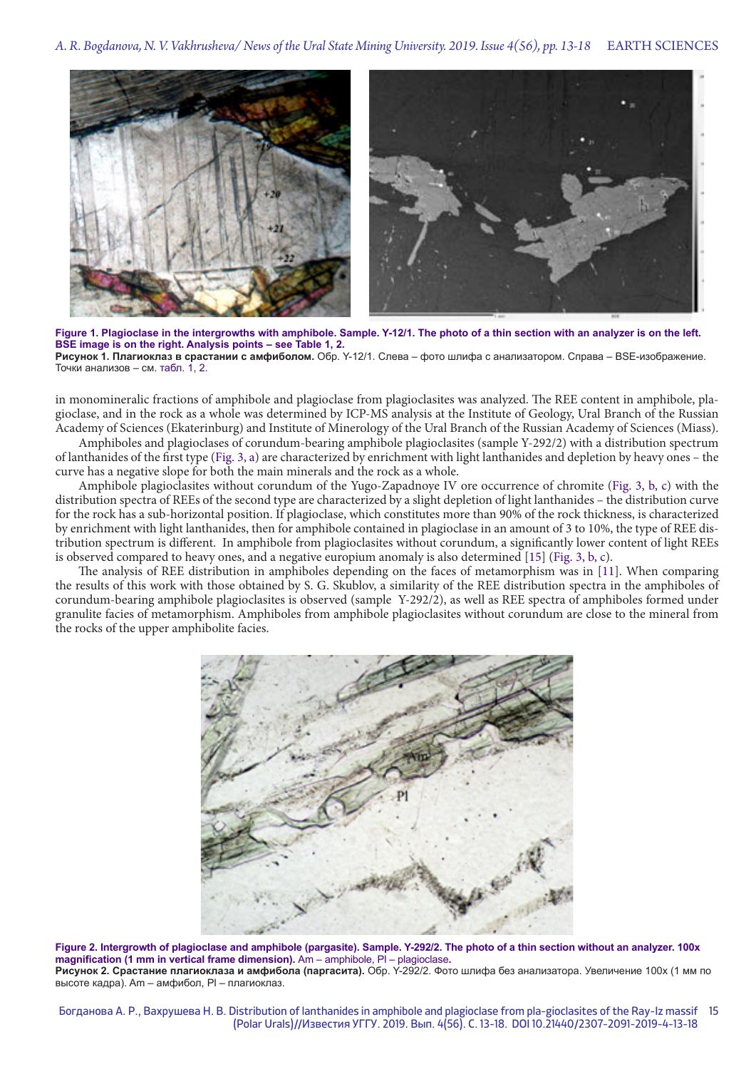

**Figure 1. Plagioclase in the intergrowths with amphibole. Sample. Y-12/1. The photo of a thin section with an analyzer is on the left. BSE image is on the right. Analysis points – see Table 1, 2. Рисунок 1. Плагиоклаз в срастании с амфиболом.** Обр. Y-12/1. Слева – фото шлифа с анализатором. Справа – BSE-изображение. Точки анализов – см. табл. 1, 2.

in monomineralic fractions of amphibole and plagioclase from plagioclasites was analyzed. The REE content in amphibole, plagioclase, and in the rock as a whole was determined by ICP-MS analysis at the Institute of Geology, Ural Branch of the Russian Academy of Sciences (Ekaterinburg) and Institute of Minerology of the Ural Branch of the Russian Academy of Sciences (Miass).

Amphiboles and plagioclases of corundum-bearing amphibole plagioclasites (sample Y-292/2) with a distribution spectrum of lanthanides of the first type (Fig. 3, a) are characterized by enrichment with light lanthanides and depletion by heavy ones – the curve has a negative slope for both the main minerals and the rock as a whole.

Amphibole plagioclasites without corundum of the Yugo-Zapadnoye IV ore occurrence of chromite (Fig. 3, b, c) with the distribution spectra of REEs of the second type are characterized by a slight depletion of light lanthanides – the distribution curve for the rock has a sub-horizontal position. If plagioclase, which constitutes more than 90% of the rock thickness, is characterized by enrichment with light lanthanides, then for amphibole contained in plagioclase in an amount of 3 to 10%, the type of REE distribution spectrum is different. In amphibole from plagioclasites without corundum, a significantly lower content of light REEs is observed compared to heavy ones, and a negative europium anomaly is also determined [15] (Fig. 3, b, c).

The analysis of REE distribution in amphiboles depending on the faces of metamorphism was in [11]. When comparing the results of this work with those obtained by S. G. Skublov, a similarity of the REE distribution spectra in the amphiboles of corundum-bearing amphibole plagioclasites is observed (sample Y-292/2), as well as REE spectra of amphiboles formed under granulite facies of metamorphism. Amphiboles from amphibole plagioclasites without corundum are close to the mineral from the rocks of the upper amphibolite facies.



**Figure 2. Intergrowth of plagioclase and amphibole (pargasite). Sample. Y-292/2. The photo of a thin section without an analyzer. 100x magnification (1 mm in vertical frame dimension).** Am – amphibole, Pl – plagioclase**. Рисунок 2. Срастание плагиоклаза и амфибола (паргасита).** Обр. Y-292/2. Фото шлифа без анализатора. Увеличение 100х (1 мм по высоте кадра). Am – амфибол, Pl – плагиоклаз.

Богданова А. Р., Вахрушева Н. В. Distribution of lanthanides in amphibole and plagioclase from pla-gioclasites of the Ray-Iz massif 15 (Polar Urals)//Известия УГГУ. 2019. Вып. 4(56). С. 13-18. DOI 10.21440/2307-2091-2019-4-13-18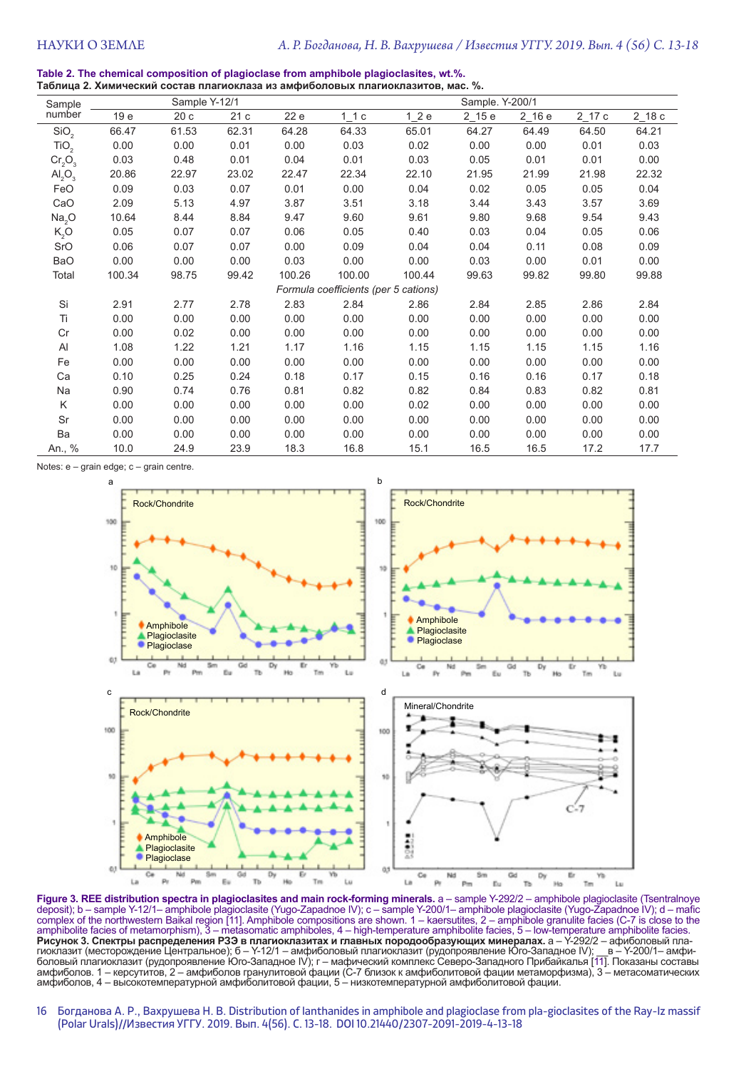**Table 2. The chemical composition of plagioclase from amphibole plagioclasites, wt.%. Таблица 2. Химический состав плагиоклаза из амфиболовых плагиоклазитов, мас. %.**

| Sample                               | Sample Y-12/1 |       |       |        | Sample. Y-200/1 |        |           |            |          |          |
|--------------------------------------|---------------|-------|-------|--------|-----------------|--------|-----------|------------|----------|----------|
| number                               | 19 e          | 20c   | 21c   | 22 e   | 11c             | 12e    | $2 - 15e$ | $2$ 16 $e$ | $2$ 17 c | $2$ 18 c |
| SiO <sub>2</sub>                     | 66.47         | 61.53 | 62.31 | 64.28  | 64.33           | 65.01  | 64.27     | 64.49      | 64.50    | 64.21    |
| TiO <sub>2</sub>                     | 0.00          | 0.00  | 0.01  | 0.00   | 0.03            | 0.02   | 0.00      | 0.00       | 0.01     | 0.03     |
| $Cr_2O_3$                            | 0.03          | 0.48  | 0.01  | 0.04   | 0.01            | 0.03   | 0.05      | 0.01       | 0.01     | 0.00     |
| $\mathsf{Al}_2\mathsf{O}_3$          | 20.86         | 22.97 | 23.02 | 22.47  | 22.34           | 22.10  | 21.95     | 21.99      | 21.98    | 22.32    |
| FeO                                  | 0.09          | 0.03  | 0.07  | 0.01   | 0.00            | 0.04   | 0.02      | 0.05       | 0.05     | 0.04     |
| CaO                                  | 2.09          | 5.13  | 4.97  | 3.87   | 3.51            | 3.18   | 3.44      | 3.43       | 3.57     | 3.69     |
| Na <sub>2</sub> O                    | 10.64         | 8.44  | 8.84  | 9.47   | 9.60            | 9.61   | 9.80      | 9.68       | 9.54     | 9.43     |
| K <sub>2</sub> O                     | 0.05          | 0.07  | 0.07  | 0.06   | 0.05            | 0.40   | 0.03      | 0.04       | 0.05     | 0.06     |
| SrO                                  | 0.06          | 0.07  | 0.07  | 0.00   | 0.09            | 0.04   | 0.04      | 0.11       | 0.08     | 0.09     |
| <b>BaO</b>                           | 0.00          | 0.00  | 0.00  | 0.03   | 0.00            | 0.00   | 0.03      | 0.00       | 0.01     | 0.00     |
| Total                                | 100.34        | 98.75 | 99.42 | 100.26 | 100.00          | 100.44 | 99.63     | 99.82      | 99.80    | 99.88    |
| Formula coefficients (per 5 cations) |               |       |       |        |                 |        |           |            |          |          |
| Si                                   | 2.91          | 2.77  | 2.78  | 2.83   | 2.84            | 2.86   | 2.84      | 2.85       | 2.86     | 2.84     |
| Ti                                   | 0.00          | 0.00  | 0.00  | 0.00   | 0.00            | 0.00   | 0.00      | 0.00       | 0.00     | 0.00     |
| Cr                                   | 0.00          | 0.02  | 0.00  | 0.00   | 0.00            | 0.00   | 0.00      | 0.00       | 0.00     | 0.00     |
| Al                                   | 1.08          | 1.22  | 1.21  | 1.17   | 1.16            | 1.15   | 1.15      | 1.15       | 1.15     | 1.16     |
| Fe                                   | 0.00          | 0.00  | 0.00  | 0.00   | 0.00            | 0.00   | 0.00      | 0.00       | 0.00     | 0.00     |
| Ca                                   | 0.10          | 0.25  | 0.24  | 0.18   | 0.17            | 0.15   | 0.16      | 0.16       | 0.17     | 0.18     |
| Na                                   | 0.90          | 0.74  | 0.76  | 0.81   | 0.82            | 0.82   | 0.84      | 0.83       | 0.82     | 0.81     |
| K                                    | 0.00          | 0.00  | 0.00  | 0.00   | 0.00            | 0.02   | 0.00      | 0.00       | 0.00     | 0.00     |
| Sr                                   | 0.00          | 0.00  | 0.00  | 0.00   | 0.00            | 0.00   | 0.00      | 0.00       | 0.00     | 0.00     |
| Ba                                   | 0.00          | 0.00  | 0.00  | 0.00   | 0.00            | 0.00   | 0.00      | 0.00       | 0.00     | 0.00     |
| An., %                               | 10.0          | 24.9  | 23.9  | 18.3   | 16.8            | 15.1   | 16.5      | 16.5       | 17.2     | 17.7     |

Notes: e – grain edge; c – grain centre.



**Figure 3. REE distribution spectra in plagioclasites and main rock-forming minerals.** a – sample Y-292/2 – amphibole plagioclasite (Tsentralnoye<br>deposit); b – sample Y-12/1– amphibole plagioclasite (Yugo-Zapadnoe IV); c – complex of the northwestern Baikal region [11]. Amphibole compositions are shown. 1 – kaersutites, 2 – amphibole granulite facies (С-7 is close to the amphibolite facies of metamorphism), 3 – metasomatic amphiboles, 4 – high-temperature amphibolite facies, 5 – low-temperature amphibolite facies. **Рисунок 3. Спектры распределения РЗЭ в плагиоклазитах и главных породообразующих минералах.** а – Y-292/2 – афиболовый плагиоклазит (месторождение Центральное); б – Y-12/1 – амфиболовый плагиоклазит (рудопроявление Юго-Западное IV); \_\_в – Y-200/1– амфиболовый плагиоклазит (рудопроявление Юго-Западное IV); г – мафический комплекс Северо-Западного Прибайкалья [11]. Показаны составы амфиболов. 1 – керсутитов, 2 – амфиболов гранулитовой фации (С-7 близок к амфиболитовой фации метаморфизма), 3 – метасоматических амфиболов, 4 – высокотемпературной амфиболитовой фации, 5 – низкотемпературной амфиболитовой фации.

16 Богданова А. Р., Вахрушева Н. В. Distribution of lanthanides in amphibole and plagioclase from pla-gioclasites of the Ray-Iz massif (Polar Urals)//Известия УГГУ. 2019. Вып. 4(56). С. 13-18. DOI 10.21440/2307-2091-2019-4-13-18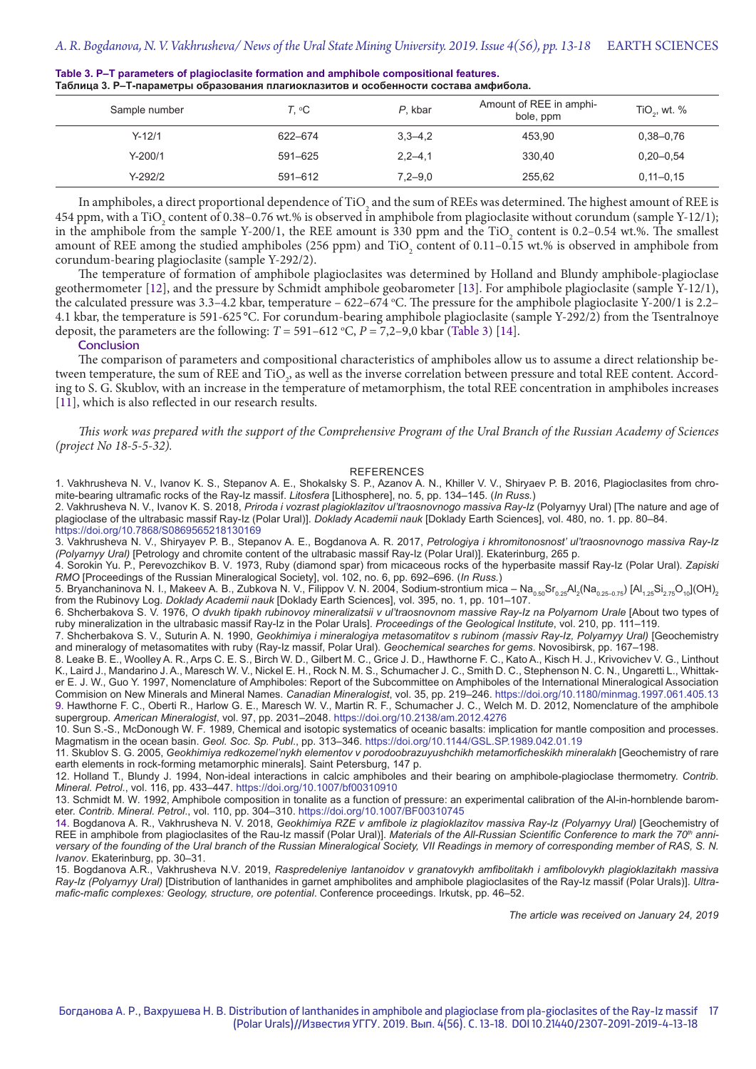| $\mathcal{T}, \ ^{\circ}\mathbb{C}$ | P. kbar     | Amount of REE in amphi-<br>bole, ppm | $TiO2$ , wt. % |  |  |  |  |  |  |
|-------------------------------------|-------------|--------------------------------------|----------------|--|--|--|--|--|--|
| 622-674                             | $3,3-4,2$   | 453.90                               | $0,38 - 0,76$  |  |  |  |  |  |  |
| 591-625                             | $2,2-4,1$   | 330.40                               | $0,20-0,54$    |  |  |  |  |  |  |
| 591-612                             | $7,2 - 9,0$ | 255,62                               | $0,11 - 0,15$  |  |  |  |  |  |  |
|                                     |             |                                      |                |  |  |  |  |  |  |

#### **Table 3. P–T parameters of plagioclasite formation and amphibole compositional features. Таблица 3. Р–Т-параметры образования плагиоклазитов и особенности состава амфибола.**

In amphiboles, a direct proportional dependence of  $TiO<sub>2</sub>$  and the sum of REEs was determined. The highest amount of REE is 454 ppm, with a TiO<sub>2</sub> content of 0.38–0.76 wt.% is observed in amphibole from plagioclasite without corundum (sample Y-12/1);<br> in the amphibole from the sample Y-200/1, the REE amount is 330 ppm and the TiO<sub>2</sub> content is 0.2–0.54 wt.%. The smallest amount of REE among the studied amphiboles (256 ppm) and  $TiO<sub>2</sub>$  content of 0.11–0.15 wt.% is observed in amphibole from corundum-bearing plagioclasite (sample Y-292/2).

The temperature of formation of amphibole plagioclasites was determined by Holland and Blundy amphibole-plagioclase geothermometer [12], and the pressure by Schmidt amphibole geobarometer [13]. For amphibole plagioclasite (sample Y-12/1), the calculated pressure was 3.3–4.2 kbar, temperature – 622–674 °C. The pressure for the amphibole plagioclasite Y-200/1 is 2.2– 4.1 kbar, the temperature is 591-625 °C. For corundum-bearing amphibole plagioclasite (sample Y-292/2) from the Tsentralnoye deposit, the parameters are the following:  $T = 591-612$  °C,  $P = 7,2-9,0$  kbar (Table 3) [14].

#### **Conclusion**

The comparison of parameters and compositional characteristics of amphiboles allow us to assume a direct relationship between temperature, the sum of REE and  $TiO<sub>2</sub>$ , as well as the inverse correlation between pressure and total REE content. According to S. G. Skublov, with an increase in the temperature of metamorphism, the total REE concentration in amphiboles increases [11], which is also reflected in our research results.

*This work was prepared with the support of the Comprehensive Program of the Ural Branch of the Russian Academy of Sciences (project No 18-5-5-32).* 

#### **REFERENCES**

1. Vakhrusheva N. V., Ivanov K. S., Stepanov A. E., Shokalsky S. P., Azanov A. N., Khiller V. V., Shiryaev P. B. 2016, Plagioclasites from chromite-bearing ultramafic rocks of the Ray-Iz massif. *Litosfera* [Lithosphere], no. 5, pp. 134–145. (*In Russ.*)

2. Vakhrusheva N. V., Ivanov K. S. 2018, *Priroda i vozrast plagioklazitov ul'traosnovnogo massiva Ray-Iz* (Polyarnyy Ural) [The nature and age of plagioclase of the ultrabasic massif Ray-Iz (Polar Ural)]. *Doklady Academii nauk* [Doklady Earth Sciences], vol. 480, no. 1. pp. 80–84. https://doi.org/10.7868/S0869565218130169

3. Vakhrusheva N. V., Shiryayev P. B., Stepanov A. E., Bogdanova A. R. 2017, *Petrologiya i khromitonosnost' ul'traosnovnogo massiva Ray-Iz (Polyarnyy Ural)* [Petrology and chromite content of the ultrabasic massif Ray-Iz (Polar Ural)]. Ekaterinburg, 265 p.

4. Sorokin Yu. P., Perevozchikov B. V*.* 1973, Ruby (diamond spar) from micaceous rocks of the hyperbasite massif Ray-Iz (Polar Ural). *Zapiski RMO* [Proceedings of the Russian Mineralogical Society], vol. 102, no. 6, pp. 692–696. (*In Russ.*)

5. Bryanchaninova N. I., Makeev A. B., Zubkova N. V., Filippov V. N. 2004, Sodium-strontium mica – Na<sub>0.50</sub>Sr<sub>0.25</sub>Al<sub>2</sub>(Na<sub>0.25–0.75</sub>) [Al<sub>1.25</sub>Si<sub>2.75</sub>O<sub>10</sub>](OH)<sub>2</sub> from the Rubinovy Log. *Doklady Academii nauk* [Doklady Earth Sciences], vol. 395, no. 1, pp. 101–107.

6. Shcherbakova S. V. 1976, *O dvukh tipakh rubinovoy mineralizatsii v ul'traosnovnom massive Ray-Iz na Polyarnom Urale* [About two types of ruby mineralization in the ultrabasic massif Ray-Iz in the Polar Urals]. *Proceedings of the Geological Institute*, vol. 210, pp. 111–119.

7. Shcherbakova S. V., Suturin A. N. 1990, *Geokhimiya i mineralogiya metasomatitov s rubinom (massiv Ray-Iz, Polyarnyy Ural)* [Geochemistry and mineralogy of metasomatites with ruby (Ray-Iz massif, Polar Ural). *Geochemical searches for gems*. Novosibirsk, pp. 167–198.

8. Leake B. E., Woolley A. R., Arps C. E. S., Birch W. D., Gilbert M. C., Grice J. D., Hawthorne F. C., Kato A., Kisch H. J., Krivovichev V. G., Linthout K., Laird J., Mandarino J. A., Maresch W. V., Nickel E. H., Rock N. M. S., Schumacher J. C., Smith D. C., Stephenson N. C. N., Ungaretti L., Whittaker E. J. W., Guo Y. 1997, Nomenclature of Amphiboles: Report of the Subcommittee on Amphiboles of the International Mineralogical Association Commision on New Minerals and Mineral Names. *Canadian Mineralogist*, vol. 35, pp. 219–246. https://doi.org/10.1180/minmag.1997.061.405.13 9. Hawthorne F. C., Oberti R., Harlow G. E., Maresch W. V., Martin R. F., Schumacher J. C., Welch M. D. 2012, Nomenclature of the amphibole supergroup. *American Mineralogist*, vol. 97, pp. 2031–2048. https://doi.org/10.2138/am.2012.4276

10. Sun S.-S., McDonough W. F*.* 1989, Chemical and isotopic systematics of oceanic basalts: implication for mantle composition and processes. Magmatism in the ocean basin. *Geol. Soc. Sp. Publ*., pp. 313–346. https://doi.org/10.1144/GSL.SP.1989.042.01.19

11. Skublov S. G. 2005, *Geokhimiya redkozemel'nykh elementov v porodoobrazuyushchikh metamorficheskikh mineralakh* [Geochemistry of rare earth elements in rock-forming metamorphic minerals]. Saint Petersburg, 147 p.

12. Holland T., Blundy J. 1994, Non-ideal interactions in calcic amphiboles and their bearing on amphibole-plagioclase thermometry. *Contrib. Mineral. Petrol*., vol. 116, pp. 433–447. https://doi.org/10.1007/bf00310910

13. Schmidt M. W*.* 1992, Amphibole composition in tonalite as a function of pressure: an experimental calibration of the Al-in-hornblende barometer. *Contrib. Mineral. Petrol*., vol. 110, pp. 304–310. https://doi.org/10.1007/BF00310745

14. Bogdanova A. R., Vakhrusheva N. V. 2018, *Geokhimiya RZE v amfibole iz plagioklazitov massiva Ray-Iz (Polyarnyy Ural)* [Geochemistry of REE in amphibole from plagioclasites of the Rau-Iz massif (Polar Ural)]. Materials of the All-Russian Scientific Conference to mark the 70<sup>th</sup> anni*versary of the founding of the Ural branch of the Russian Mineralogical Society, VII Readings in memory of corresponding member of RAS, S. N. Ivanov*. Ekaterinburg, pp. 30–31.

15. Bogdanova A.R., Vakhrusheva N.V*.* 2019, *Raspredeleniye lantanoidov v granatovykh amfibolitakh i amfibolovykh plagioklazitakh massiva Ray-Iz (Polyarnyy Ural)* [Distribution of lanthanides in garnet amphibolites and amphibole plagioclasites of the Ray-Iz massif (Polar Urals)]. *Ultramafic-mafic complexes: Geology, structure, ore potential*. Conference proceedings. Irkutsk, pp. 46–52.

*The article was received on January 24, 2019*